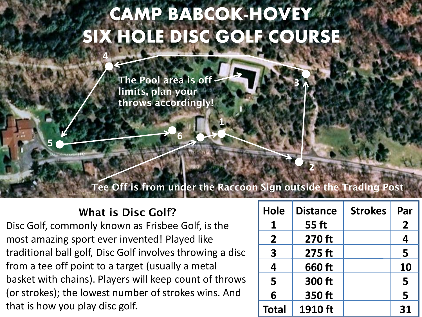# CAMP BABCOK-HOVEY SIX HOLE DISC GOLF COURSE

**1**

**The Pool area is off limits, plan your throws accordingly!**

**6**

# **Tee Off is from under the Raccoon Sign outside the Trading Post**

# **What is Disc Golf?**

**4**

**5**

Disc Golf, commonly known as Frisbee Golf, is the most amazing sport ever invented! Played like traditional ball golf, Disc Golf involves throwing a disc from a tee off point to a target (usually a metal basket with chains). Players will keep count of throws (or strokes); the lowest number of strokes wins. And that is how you play disc golf.

| Hole                    | <b>Distance</b> | <b>Strokes</b> | Par                     |
|-------------------------|-----------------|----------------|-------------------------|
| 1                       | 55 ft           |                | $\mathbf{2}$            |
| $\overline{2}$          | 270 ft          |                | $\overline{\mathbf{4}}$ |
| $\overline{\mathbf{3}}$ | 275 ft          |                | 5                       |
| 4                       | 660 ft          |                | <b>10</b>               |
| 5                       | 300 ft          |                | 5                       |
| 6                       | 350 ft          |                | 5                       |
| <b>Total</b>            | 1910 ft         |                | 31                      |

**2**

**3**